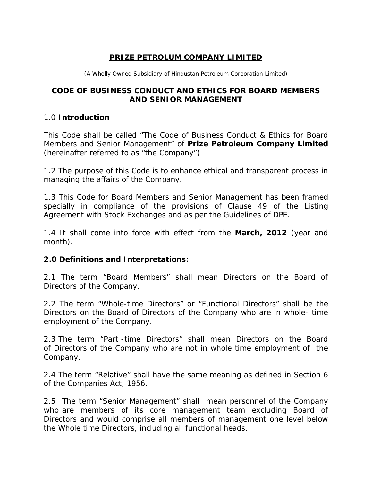### **PRIZE PETROLUM COMPANY LIMITED**

(A Wholly Owned Subsidiary of Hindustan Petroleum Corporation Limited)

### **CODE OF BUSINESS CONDUCT AND ETHICS FOR BOARD MEMBERS AND SENIOR MANAGEMENT**

#### 1.0 **Introduction**

This Code shall be called "The Code of Business Conduct & Ethics for Board Members and Senior Management" of **Prize Petroleum Company Limited** (hereinafter referred to as "the Company")

1.2 The purpose of this Code is to enhance ethical and transparent process in managing the affairs of the Company.

1.3 This Code for Board Members and Senior Management has been framed specially in compliance of the provisions of Clause 49 of the Listing Agreement with Stock Exchanges and as per the Guidelines of DPE.

1.4 It shall come into force with effect from the **March, 2012** (year and month).

### **2.0 Definitions and Interpretations:**

2.1 The term "Board Members" shall mean Directors on the Board of Directors of the Company.

2.2 The term "Whole-time Directors" or "Functional Directors" shall be the Directors on the Board of Directors of the Company who are in whole- time employment of the Company.

2.3 The term "Part -time Directors" shall mean Directors on the Board of Directors of the Company who are not in whole time employment of the Company.

2.4 The term "Relative" shall have the same meaning as defined in Section 6 of the Companies Act, 1956.

2.5 The term "Senior Management" shall mean personnel of the Company who are members of its core management team excluding Board of Directors and would comprise all members of management one level below the Whole time Directors, including all functional heads.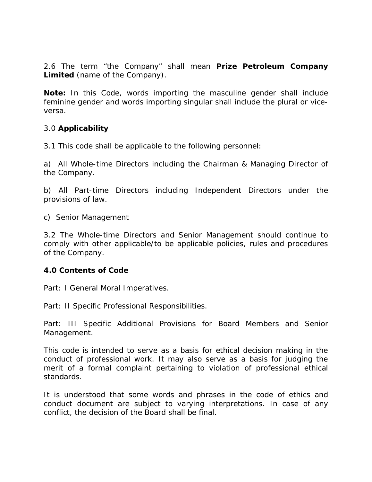2.6 The term "the Company" shall mean **Prize Petroleum Company Limited** (name of the Company).

**Note:** In this Code, words importing the masculine gender shall include feminine gender and words importing singular shall include the plural or viceversa.

### 3.0 **Applicability**

3.1 This code shall be applicable to the following personnel:

a) All Whole-time Directors including the Chairman & Managing Director of the Company.

b) All Part-time Directors including Independent Directors under the provisions of law.

c) Senior Management

3.2 The Whole-time Directors and Senior Management should continue to comply with other applicable/to be applicable policies, rules and procedures of the Company.

### **4.0 Contents of Code**

Part: I General Moral Imperatives.

Part: II Specific Professional Responsibilities.

Part: III Specific Additional Provisions for Board Members and Senior Management.

This code is intended to serve as a basis for ethical decision making in the conduct of professional work. It may also serve as a basis for judging the merit of a formal complaint pertaining to violation of professional ethical standards.

It is understood that some words and phrases in the code of ethics and conduct document are subject to varying interpretations. In case of any conflict, the decision of the Board shall be final.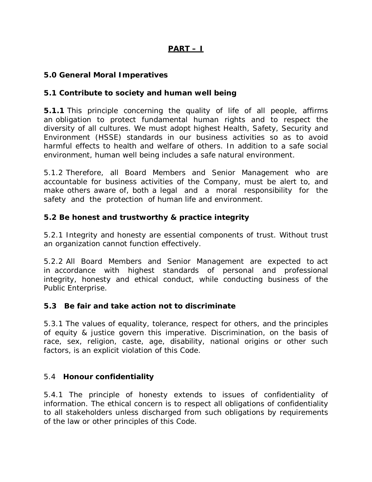# **PART – I**

### **5.0 General Moral Imperatives**

### **5.1 Contribute to society and human well being**

**5.1.1** This principle concerning the quality of life of all people, affirms an obligation to protect fundamental human rights and to respect the diversity of all cultures. We must adopt highest Health, Safety, Security and Environment (HSSE) standards in our business activities so as to avoid harmful effects to health and welfare of others. In addition to a safe social environment, human well being includes a safe natural environment.

5.1.2 Therefore, all Board Members and Senior Management who are accountable for business activities of the Company, must be alert to, and make others aware of, both a legal and a moral responsibility for the safety and the protection of human life and environment.

### **5.2 Be honest and trustworthy & practice integrity**

5.2.1 Integrity and honesty are essential components of trust. Without trust an organization cannot function effectively.

5.2.2 All Board Members and Senior Management are expected to act in accordance with highest standards of personal and professional integrity, honesty and ethical conduct, while conducting business of the Public Enterprise.

### **5.3 Be fair and take action not to discriminate**

5.3.1 The values of equality, tolerance, respect for others, and the principles of equity & justice govern this imperative. Discrimination, on the basis of race, sex, religion, caste, age, disability, national origins or other such factors, is an explicit violation of this Code.

### 5.4 **Honour confidentiality**

5.4.1 The principle of honesty extends to issues of confidentiality of information. The ethical concern is to respect all obligations of confidentiality to all stakeholders unless discharged from such obligations by requirements of the law or other principles of this Code.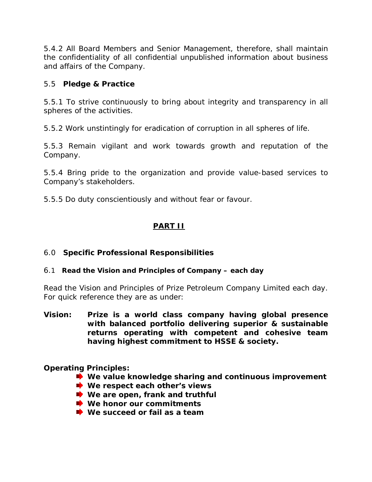5.4.2 All Board Members and Senior Management, therefore, shall maintain the confidentiality of all confidential unpublished information about business and affairs of the Company.

### 5.5 **Pledge & Practice**

5.5.1 To strive continuously to bring about integrity and transparency in all spheres of the activities.

5.5.2 Work unstintingly for eradication of corruption in all spheres of life.

5.5.3 Remain vigilant and work towards growth and reputation of the Company.

5.5.4 Bring pride to the organization and provide value-based services to Company's stakeholders.

5.5.5 Do duty conscientiously and without fear or favour.

# **PART II**

# 6.0 **Specific Professional Responsibilities**

### 6.1 **Read the Vision and Principles of Company – each day**

Read the Vision and Principles of Prize Petroleum Company Limited each day. For quick reference they are as under:

**Vision: Prize is a world class company having global presence with balanced portfolio delivering superior & sustainable returns operating with competent and cohesive team having highest commitment to HSSE & society.**

### **Operating Principles:**

- **We value knowledge sharing and continuous improvement**
- $\bullet$  We respect each other's views
- $\bullet$  We are open, frank and truthful
- **► We honor our commitments**
- $\rightarrow$  **We succeed or fail as a team**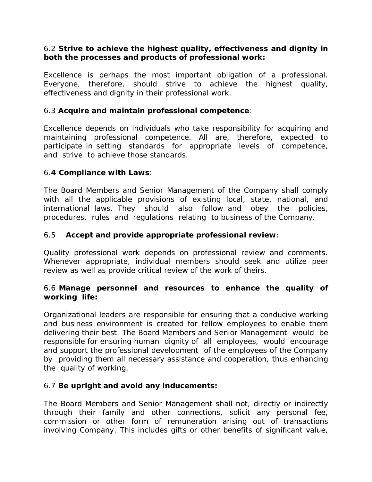### 6.2 **Strive to achieve the highest quality, effectiveness and dignity in both the processes and products of professional work:**

Excellence is perhaps the most important obligation of a professional. Everyone, therefore, should strive to achieve the highest quality, effectiveness and dignity in their professional work.

### 6.3 **Acquire and maintain professional competence**:

Excellence depends on individuals who take responsibility for acquiring and maintaining professional competence. All are, therefore, expected to participate in setting standards for appropriate levels of competence, and strive to achieve those standards.

### 6.**4 Compliance with Laws**:

The Board Members and Senior Management of the Company shall comply with all the applicable provisions of existing local, state, national, and international laws. They should also follow and obey the policies, procedures, rules and regulations relating to business of the Company.

### 6.5 **Accept and provide appropriate professional review**:

Quality professional work depends on professional review and comments. Whenever appropriate, individual members should seek and utilize peer review as well as provide critical review of the work of theirs.

#### 6.6 **Manage personnel and resources to enhance the quality of working life:**

Organizational leaders are responsible for ensuring that a conducive working and business environment is created for fellow employees to enable them delivering their best. The Board Members and Senior Management would be responsible for ensuring human dignity of all employees, would encourage and support the professional development of the employees of the Company by providing them all necessary assistance and cooperation, thus enhancing the quality of working.

### 6.7 **Be upright and avoid any inducements:**

The Board Members and Senior Management shall not, directly or indirectly through their family and other connections, solicit any personal fee, commission or other form of remuneration arising out of transactions involving Company. This includes gifts or other benefits of significant value,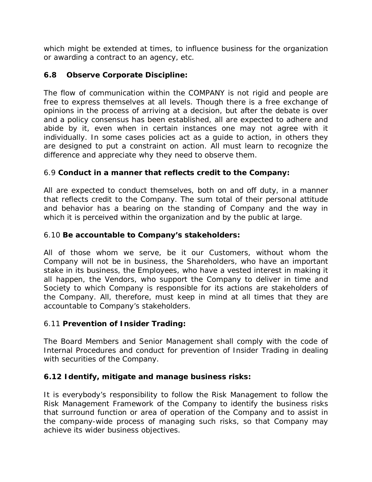which might be extended at times, to influence business for the organization or awarding a contract to an agency, etc.

# **6.8 Observe Corporate Discipline:**

The flow of communication within the COMPANY is not rigid and people are free to express themselves at all levels. Though there is a free exchange of opinions in the process of arriving at a decision, but after the debate is over and a policy consensus has been established, all are expected to adhere and abide by it, even when in certain instances one may not agree with it individually. In some cases policies act as a guide to action, in others they are designed to put a constraint on action. All must learn to recognize the difference and appreciate why they need to observe them.

# 6.9 **Conduct in a manner that reflects credit to the Company:**

All are expected to conduct themselves, both on and off duty, in a manner that reflects credit to the Company. The sum total of their personal attitude and behavior has a bearing on the standing of Company and the way in which it is perceived within the organization and by the public at large.

# 6.10 **Be accountable to Company's stakeholders:**

All of those whom we serve, be it our Customers, without whom the Company will not be in business, the Shareholders, who have an important stake in its business, the Employees, who have a vested interest in making it all happen, the Vendors, who support the Company to deliver in time and Society to which Company is responsible for its actions are stakeholders of the Company. All, therefore, must keep in mind at all times that they are accountable to Company's stakeholders.

# 6.11 **Prevention of Insider Trading:**

The Board Members and Senior Management shall comply with the code of Internal Procedures and conduct for prevention of Insider Trading in dealing with securities of the Company.

# **6.12 Identify, mitigate and manage business risks:**

It is everybody's responsibility to follow the Risk Management to follow the Risk Management Framework of the Company to identify the business risks that surround function or area of operation of the Company and to assist in the company-wide process of managing such risks, so that Company may achieve its wider business objectives.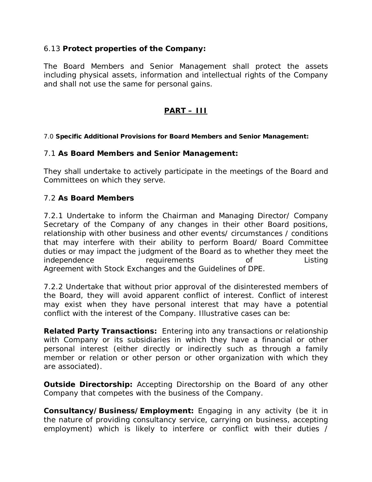### 6.13 **Protect properties of the Company:**

The Board Members and Senior Management shall protect the assets including physical assets, information and intellectual rights of the Company and shall not use the same for personal gains.

# **PART – III**

#### 7.0 **Specific Additional Provisions for Board Members and Senior Management:**

#### 7.1 **As Board Members and Senior Management:**

They shall undertake to actively participate in the meetings of the Board and Committees on which they serve.

### 7.2 **As Board Members**

7.2.1 Undertake to inform the Chairman and Managing Director/ Company Secretary of the Company of any changes in their other Board positions, relationship with other business and other events/ circumstances / conditions that may interfere with their ability to perform Board/ Board Committee duties or may impact the judgment of the Board as to whether they meet the independence requirements of Listing Agreement with Stock Exchanges and the Guidelines of DPE.

7.2.2 Undertake that without prior approval of the disinterested members of the Board, they will avoid apparent conflict of interest. Conflict of interest may exist when they have personal interest that may have a potential conflict with the interest of the Company. Illustrative cases can be:

**Related Party Transactions:** Entering into any transactions or relationship with Company or its subsidiaries in which they have a financial or other personal interest (either directly or indirectly such as through a family member or relation or other person or other organization with which they are associated).

**Outside Directorship:** Accepting Directorship on the Board of any other Company that competes with the business of the Company.

**Consultancy/Business/Employment:** Engaging in any activity (be it in the nature of providing consultancy service, carrying on business, accepting employment) which is likely to interfere or conflict with their duties /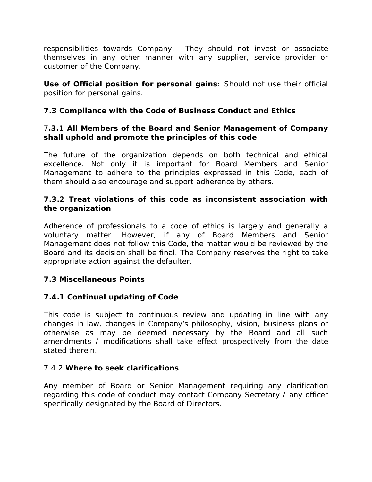responsibilities towards Company. They should not invest or associate themselves in any other manner with any supplier, service provider or customer of the Company.

**Use of Official position for personal gains**: Should not use their official position for personal gains.

# **7.3 Compliance with the Code of Business Conduct and Ethics**

### 7**.3.1 All Members of the Board and Senior Management of Company shall uphold and promote the principles of this code**

The future of the organization depends on both technical and ethical excellence. Not only it is important for Board Members and Senior Management to adhere to the principles expressed in this Code, each of them should also encourage and support adherence by others.

### **7.3.2 Treat violations of this code as inconsistent association with the organization**

Adherence of professionals to a code of ethics is largely and generally a voluntary matter. However, if any of Board Members and Senior Management does not follow this Code, the matter would be reviewed by the Board and its decision shall be final. The Company reserves the right to take appropriate action against the defaulter.

# **7.3 Miscellaneous Points**

# **7.4.1 Continual updating of Code**

This code is subject to continuous review and updating in line with any changes in law, changes in Company's philosophy, vision, business plans or otherwise as may be deemed necessary by the Board and all such amendments / modifications shall take effect prospectively from the date stated therein.

# 7.4.2 **Where to seek clarifications**

Any member of Board or Senior Management requiring any clarification regarding this code of conduct may contact Company Secretary / any officer specifically designated by the Board of Directors.